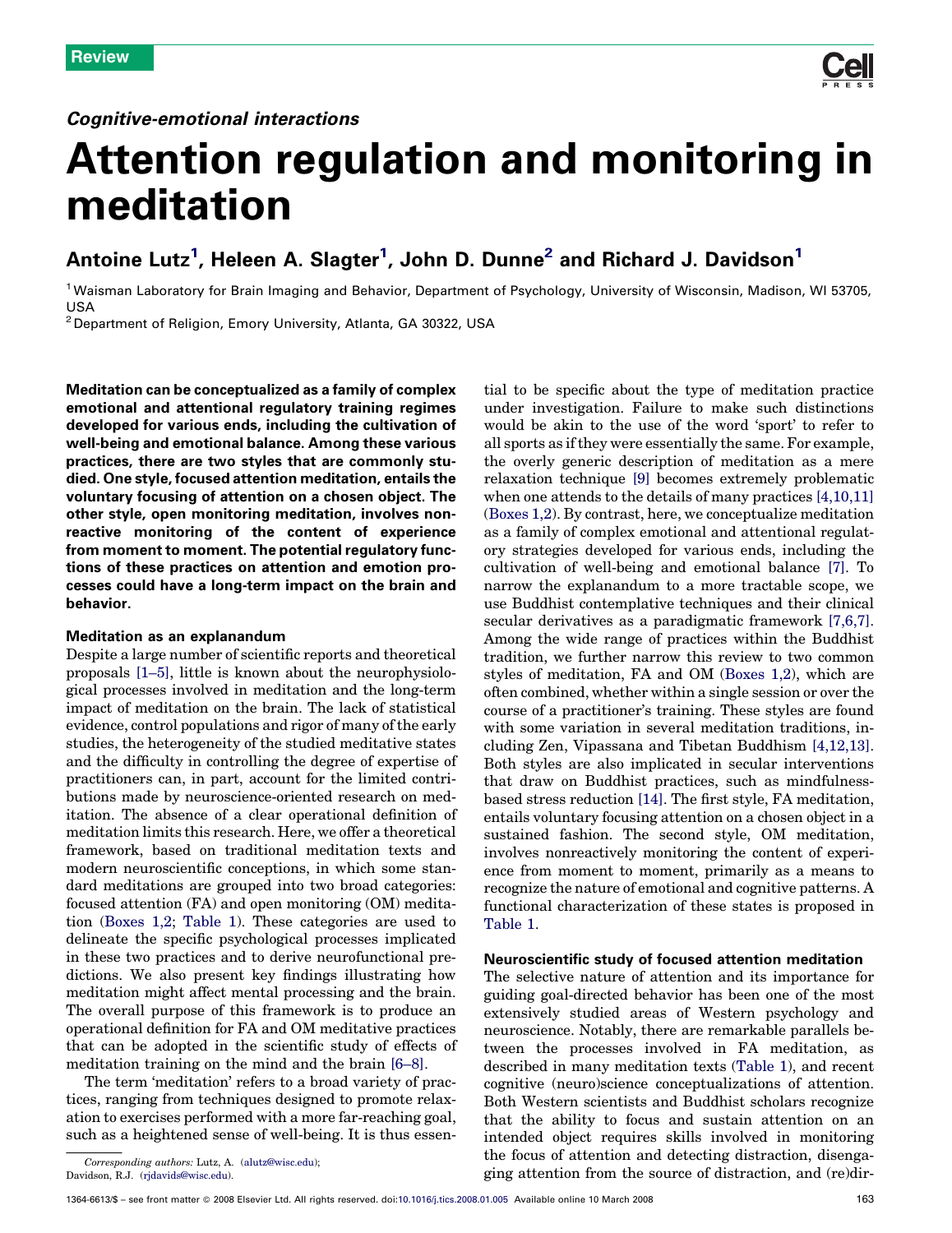

# Attention regulation and monitoring in meditation

# Antoine Lutz<sup>1</sup>, Heleen A. Slagter<sup>1</sup>, John D. Dunne<sup>2</sup> and Richard J. Davidson<sup>1</sup>

<sup>1</sup> Waisman Laboratory for Brain Imaging and Behavior, Department of Psychology, University of Wisconsin, Madison, WI 53705, USA

<sup>2</sup> Department of Religion, Emory University, Atlanta, GA 30322, USA

Meditation can be conceptualized as a family of complex emotional and attentional regulatory training regimes developed for various ends, including the cultivation of well-being and emotional balance. Among these various practices, there are two styles that are commonly studied. One style, focused attention meditation, entails the voluntary focusing of attention on a chosen object. The other style, open monitoring meditation, involves nonreactive monitoring of the content of experience from moment to moment. The potential regulatory functions of these practices on attention and emotion processes could have a long-term impact on the brain and behavior.

# Meditation as an explanandum

Despite a large number of scientific reports and theoretical proposals [\[1–5\]](#page-5-0), little is known about the neurophysiological processes involved in meditation and the long-term impact of meditation on the brain. The lack of statistical evidence, control populations and rigor of many of the early studies, the heterogeneity of the studied meditative states and the difficulty in controlling the degree of expertise of practitioners can, in part, account for the limited contributions made by neuroscience-oriented research on meditation. The absence of a clear operational definition of meditation limits this research. Here, we offer a theoretical framework, based on traditional meditation texts and modern neuroscientific conceptions, in which some standard meditations are grouped into two broad categories: focused attention (FA) and open monitoring (OM) meditation [\(Boxes 1,2;](#page-1-0) [Table 1](#page-1-0)). These categories are used to delineate the specific psychological processes implicated in these two practices and to derive neurofunctional predictions. We also present key findings illustrating how meditation might affect mental processing and the brain. The overall purpose of this framework is to produce an operational definition for FA and OM meditative practices that can be adopted in the scientific study of effects of meditation training on the mind and the brain [\[6–8\]](#page-5-0).

The term 'meditation' refers to a broad variety of practices, ranging from techniques designed to promote relaxation to exercises performed with a more far-reaching goal, such as a heightened sense of well-being. It is thus essen-

Corresponding authors: Lutz, A. [\(alutz@wisc.edu](mailto:alutz@wisc.edu)); Davidson, R.J. [\(rjdavids@wisc.edu\)](mailto:rjdavids@wisc.edu).

tial to be specific about the type of meditation practice under investigation. Failure to make such distinctions would be akin to the use of the word 'sport' to refer to all sports as if they were essentially the same. For example, the overly generic description of meditation as a mere relaxation technique [\[9\]](#page-5-0) becomes extremely problematic when one attends to the details of many practices [\[4,10,11\]](#page-5-0) ([Boxes 1,2](#page-1-0)). By contrast, here, we conceptualize meditation as a family of complex emotional and attentional regulatory strategies developed for various ends, including the cultivation of well-being and emotional balance [\[7\]](#page-5-0). To narrow the explanandum to a more tractable scope, we use Buddhist contemplative techniques and their clinical secular derivatives as a paradigmatic framework  $[7,6,7]$ . Among the wide range of practices within the Buddhist tradition, we further narrow this review to two common styles of meditation, FA and OM ([Boxes 1,2](#page-1-0)), which are often combined, whether within a single session or over the course of a practitioner's training. These styles are found with some variation in several meditation traditions, including Zen, Vipassana and Tibetan Buddhism [\[4,12,13\]](#page-5-0). Both styles are also implicated in secular interventions that draw on Buddhist practices, such as mindfulnessbased stress reduction [\[14\].](#page-5-0) The first style, FA meditation, entails voluntary focusing attention on a chosen object in a sustained fashion. The second style, OM meditation, involves nonreactively monitoring the content of experience from moment to moment, primarily as a means to recognize the nature of emotional and cognitive patterns. A functional characterization of these states is proposed in [Table 1](#page-1-0).

### Neuroscientific study of focused attention meditation

The selective nature of attention and its importance for guiding goal-directed behavior has been one of the most extensively studied areas of Western psychology and neuroscience. Notably, there are remarkable parallels between the processes involved in FA meditation, as described in many meditation texts ([Table 1\)](#page-1-0), and recent cognitive (neuro)science conceptualizations of attention. Both Western scientists and Buddhist scholars recognize that the ability to focus and sustain attention on an intended object requires skills involved in monitoring the focus of attention and detecting distraction, disengaging attention from the source of distraction, and (re)dir-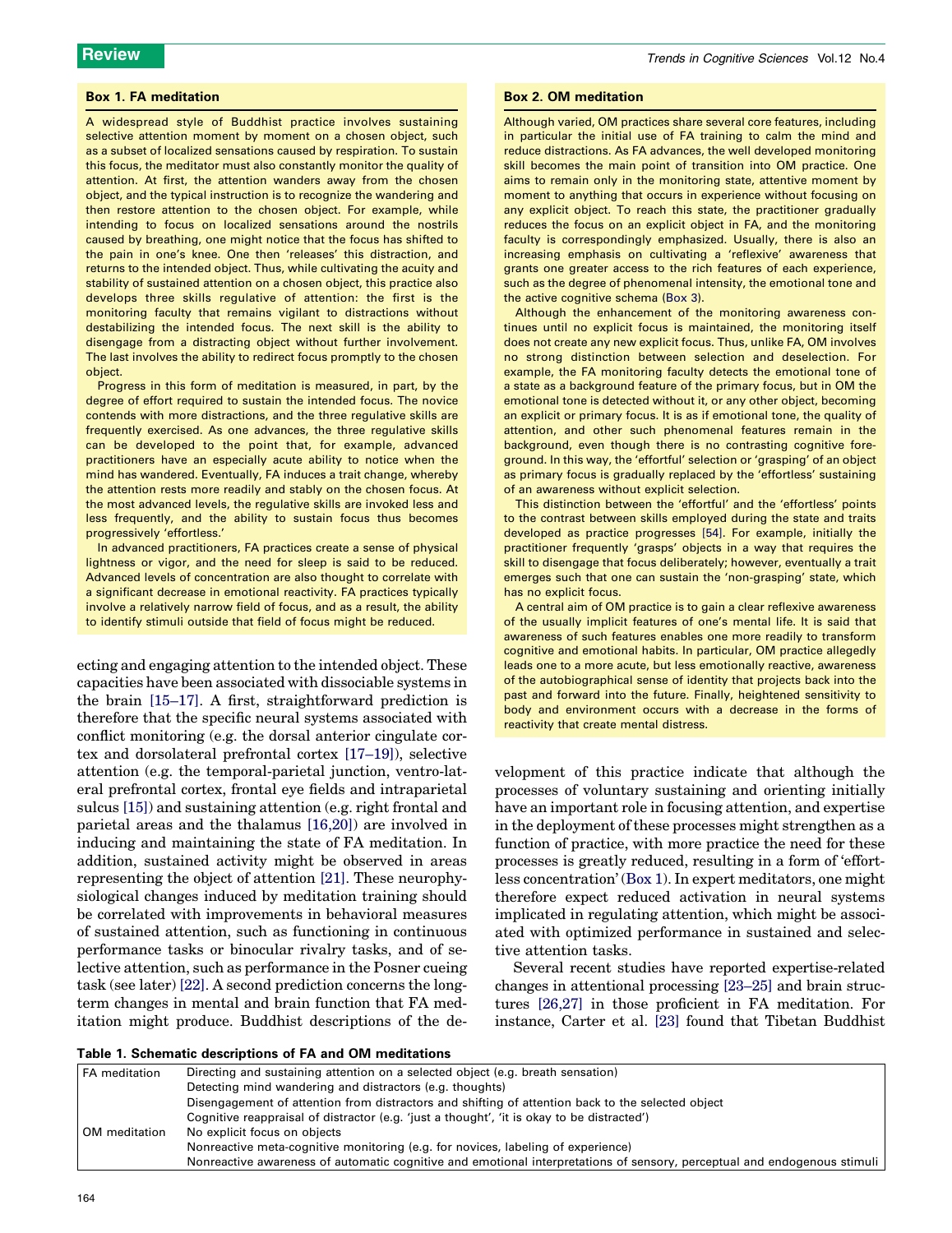#### <span id="page-1-0"></span>Box 1. FA meditation

A widespread style of Buddhist practice involves sustaining selective attention moment by moment on a chosen object, such as a subset of localized sensations caused by respiration. To sustain this focus, the meditator must also constantly monitor the quality of attention. At first, the attention wanders away from the chosen object, and the typical instruction is to recognize the wandering and then restore attention to the chosen object. For example, while intending to focus on localized sensations around the nostrils caused by breathing, one might notice that the focus has shifted to the pain in one's knee. One then 'releases' this distraction, and returns to the intended object. Thus, while cultivating the acuity and stability of sustained attention on a chosen object, this practice also develops three skills regulative of attention: the first is the monitoring faculty that remains vigilant to distractions without destabilizing the intended focus. The next skill is the ability to disengage from a distracting object without further involvement. The last involves the ability to redirect focus promptly to the chosen object.

Progress in this form of meditation is measured, in part, by the degree of effort required to sustain the intended focus. The novice contends with more distractions, and the three regulative skills are frequently exercised. As one advances, the three regulative skills can be developed to the point that, for example, advanced practitioners have an especially acute ability to notice when the mind has wandered. Eventually, FA induces a trait change, whereby the attention rests more readily and stably on the chosen focus. At the most advanced levels, the regulative skills are invoked less and less frequently, and the ability to sustain focus thus becomes progressively 'effortless.'

In advanced practitioners, FA practices create a sense of physical lightness or vigor, and the need for sleep is said to be reduced. Advanced levels of concentration are also thought to correlate with a significant decrease in emotional reactivity. FA practices typically involve a relatively narrow field of focus, and as a result, the ability to identify stimuli outside that field of focus might be reduced.

ecting and engaging attention to the intended object. These capacities have been associated with dissociable systems in the brain [\[15–17\]](#page-5-0). A first, straightforward prediction is therefore that the specific neural systems associated with conflict monitoring (e.g. the dorsal anterior cingulate cortex and dorsolateral prefrontal cortex [\[17–19\]\)](#page-5-0), selective attention (e.g. the temporal-parietal junction, ventro-lateral prefrontal cortex, frontal eye fields and intraparietal sulcus [\[15\]](#page-5-0)) and sustaining attention (e.g. right frontal and parietal areas and the thalamus [\[16,20\]](#page-5-0)) are involved in inducing and maintaining the state of FA meditation. In addition, sustained activity might be observed in areas representing the object of attention [\[21\]](#page-5-0). These neurophysiological changes induced by meditation training should be correlated with improvements in behavioral measures of sustained attention, such as functioning in continuous performance tasks or binocular rivalry tasks, and of selective attention, such as performance in the Posner cueing task (see later) [\[22\]](#page-5-0). A second prediction concerns the longterm changes in mental and brain function that FA meditation might produce. Buddhist descriptions of the de-

#### Box 2. OM meditation

Although varied, OM practices share several core features, including in particular the initial use of FA training to calm the mind and reduce distractions. As FA advances, the well developed monitoring skill becomes the main point of transition into OM practice. One aims to remain only in the monitoring state, attentive moment by moment to anything that occurs in experience without focusing on any explicit object. To reach this state, the practitioner gradually reduces the focus on an explicit object in FA, and the monitoring faculty is correspondingly emphasized. Usually, there is also an increasing emphasis on cultivating a 'reflexive' awareness that grants one greater access to the rich features of each experience, such as the degree of phenomenal intensity, the emotional tone and the active cognitive schema ([Box 3\)](#page-4-0).

Although the enhancement of the monitoring awareness continues until no explicit focus is maintained, the monitoring itself does not create any new explicit focus. Thus, unlike FA, OM involves no strong distinction between selection and deselection. For example, the FA monitoring faculty detects the emotional tone of a state as a background feature of the primary focus, but in OM the emotional tone is detected without it, or any other object, becoming an explicit or primary focus. It is as if emotional tone, the quality of attention, and other such phenomenal features remain in the background, even though there is no contrasting cognitive foreground. In this way, the 'effortful' selection or 'grasping' of an object as primary focus is gradually replaced by the 'effortless' sustaining of an awareness without explicit selection.

This distinction between the 'effortful' and the 'effortless' points to the contrast between skills employed during the state and traits developed as practice progresses [\[54\].](#page-6-0) For example, initially the practitioner frequently 'grasps' objects in a way that requires the skill to disengage that focus deliberately; however, eventually a trait emerges such that one can sustain the 'non-grasping' state, which has no explicit focus.

A central aim of OM practice is to gain a clear reflexive awareness of the usually implicit features of one's mental life. It is said that awareness of such features enables one more readily to transform cognitive and emotional habits. In particular, OM practice allegedly leads one to a more acute, but less emotionally reactive, awareness of the autobiographical sense of identity that projects back into the past and forward into the future. Finally, heightened sensitivity to body and environment occurs with a decrease in the forms of reactivity that create mental distress.

velopment of this practice indicate that although the processes of voluntary sustaining and orienting initially have an important role in focusing attention, and expertise in the deployment of these processes might strengthen as a function of practice, with more practice the need for these processes is greatly reduced, resulting in a form of 'effortless concentration' (Box 1). In expert meditators, one might therefore expect reduced activation in neural systems implicated in regulating attention, which might be associated with optimized performance in sustained and selective attention tasks.

Several recent studies have reported expertise-related changes in attentional processing [\[23–25\]](#page-5-0) and brain structures [\[26,27\]](#page-5-0) in those proficient in FA meditation. For instance, Carter et al. [\[23\]](#page-5-0) found that Tibetan Buddhist

| Table 1. Schematic descriptions of FA and OM meditations |  |
|----------------------------------------------------------|--|
|----------------------------------------------------------|--|

| <b>FA</b> meditation | Directing and sustaining attention on a selected object (e.g. breath sensation)                                          |  |
|----------------------|--------------------------------------------------------------------------------------------------------------------------|--|
|                      | Detecting mind wandering and distractors (e.g. thoughts)                                                                 |  |
|                      | Disengagement of attention from distractors and shifting of attention back to the selected object                        |  |
|                      | Cognitive reappraisal of distractor (e.g. 'just a thought', 'it is okay to be distracted')                               |  |
| OM meditation        | No explicit focus on objects                                                                                             |  |
|                      | Nonreactive meta-cognitive monitoring (e.g. for novices, labeling of experience)                                         |  |
|                      | Nonreactive awareness of automatic cognitive and emotional interpretations of sensory, perceptual and endogenous stimuli |  |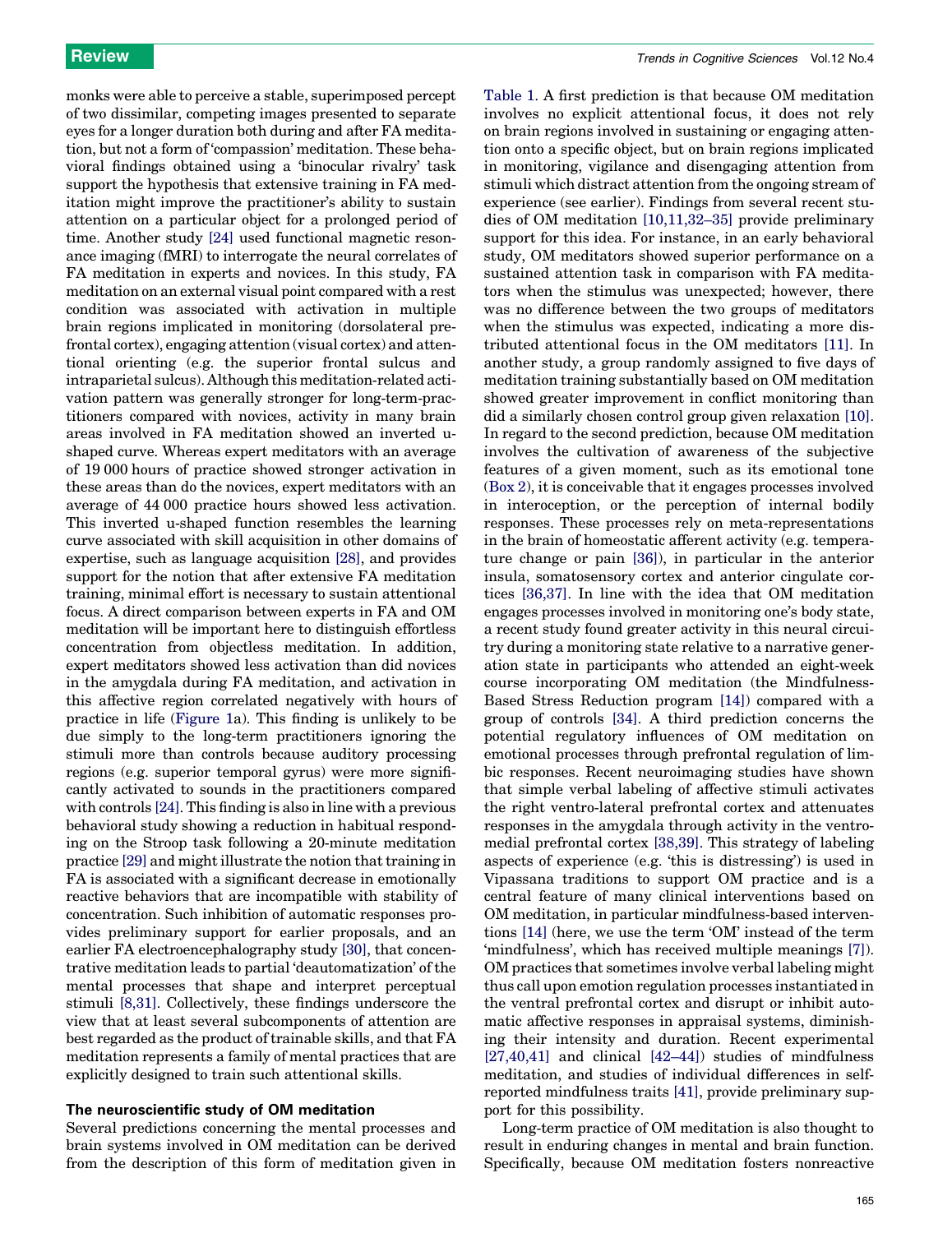monks were able to perceive a stable, superimposed percept of two dissimilar, competing images presented to separate eyes for a longer duration both during and after FA meditation, but not a form of 'compassion' meditation. These behavioral findings obtained using a 'binocular rivalry' task support the hypothesis that extensive training in FA meditation might improve the practitioner's ability to sustain attention on a particular object for a prolonged period of time. Another study [\[24\]](#page-5-0) used functional magnetic resonance imaging (fMRI) to interrogate the neural correlates of FA meditation in experts and novices. In this study, FA meditation on an external visual point compared with a rest condition was associated with activation in multiple brain regions implicated in monitoring (dorsolateral prefrontal cortex), engaging attention (visual cortex) and attentional orienting (e.g. the superior frontal sulcus and intraparietal sulcus). Although this meditation-related activation pattern was generally stronger for long-term-practitioners compared with novices, activity in many brain areas involved in FA meditation showed an inverted ushaped curve. Whereas expert meditators with an average of 19 000 hours of practice showed stronger activation in these areas than do the novices, expert meditators with an average of 44 000 practice hours showed less activation. This inverted u-shaped function resembles the learning curve associated with skill acquisition in other domains of expertise, such as language acquisition [\[28\]](#page-5-0), and provides support for the notion that after extensive FA meditation training, minimal effort is necessary to sustain attentional focus. A direct comparison between experts in FA and OM meditation will be important here to distinguish effortless concentration from objectless meditation. In addition, expert meditators showed less activation than did novices in the amygdala during FA meditation, and activation in this affective region correlated negatively with hours of practice in life ([Figure 1](#page-3-0)a). This finding is unlikely to be due simply to the long-term practitioners ignoring the stimuli more than controls because auditory processing regions (e.g. superior temporal gyrus) were more significantly activated to sounds in the practitioners compared with controls [\[24\].](#page-5-0) This finding is also in line with a previous behavioral study showing a reduction in habitual responding on the Stroop task following a 20-minute meditation practice [\[29\]](#page-5-0) and might illustrate the notion that training in FA is associated with a significant decrease in emotionally reactive behaviors that are incompatible with stability of concentration. Such inhibition of automatic responses provides preliminary support for earlier proposals, and an earlier FA electroencephalography study [\[30\]](#page-5-0), that concentrative meditation leads to partial 'deautomatization' of the mental processes that shape and interpret perceptual stimuli [\[8,31\].](#page-5-0) Collectively, these findings underscore the view that at least several subcomponents of attention are best regarded as the product of trainable skills, and that FA meditation represents a family of mental practices that are explicitly designed to train such attentional skills.

# The neuroscientific study of OM meditation

Several predictions concerning the mental processes and brain systems involved in OM meditation can be derived from the description of this form of meditation given in [Table 1](#page-1-0). A first prediction is that because OM meditation involves no explicit attentional focus, it does not rely on brain regions involved in sustaining or engaging attention onto a specific object, but on brain regions implicated in monitoring, vigilance and disengaging attention from stimuli which distract attention from the ongoing stream of experience (see earlier). Findings from several recent studies of OM meditation [\[10,11,32–35\]](#page-5-0) provide preliminary support for this idea. For instance, in an early behavioral study, OM meditators showed superior performance on a sustained attention task in comparison with FA meditators when the stimulus was unexpected; however, there was no difference between the two groups of meditators when the stimulus was expected, indicating a more distributed attentional focus in the OM meditators [\[11\].](#page-5-0) In another study, a group randomly assigned to five days of meditation training substantially based on OM meditation showed greater improvement in conflict monitoring than did a similarly chosen control group given relaxation [\[10\]](#page-5-0). In regard to the second prediction, because OM meditation involves the cultivation of awareness of the subjective features of a given moment, such as its emotional tone ([Box 2\)](#page-1-0), it is conceivable that it engages processes involved in interoception, or the perception of internal bodily responses. These processes rely on meta-representations in the brain of homeostatic afferent activity (e.g. temperature change or pain [\[36\]\)](#page-5-0), in particular in the anterior insula, somatosensory cortex and anterior cingulate cortices [\[36,37\]](#page-5-0). In line with the idea that OM meditation engages processes involved in monitoring one's body state, a recent study found greater activity in this neural circuitry during a monitoring state relative to a narrative generation state in participants who attended an eight-week course incorporating OM meditation (the Mindfulness-Based Stress Reduction program [\[14\]\)](#page-5-0) compared with a group of controls [\[34\]](#page-5-0). A third prediction concerns the potential regulatory influences of OM meditation on emotional processes through prefrontal regulation of limbic responses. Recent neuroimaging studies have shown that simple verbal labeling of affective stimuli activates the right ventro-lateral prefrontal cortex and attenuates responses in the amygdala through activity in the ventromedial prefrontal cortex [\[38,39\]](#page-6-0). This strategy of labeling aspects of experience (e.g. 'this is distressing') is used in Vipassana traditions to support OM practice and is a central feature of many clinical interventions based on OM meditation, in particular mindfulness-based interventions [\[14\]](#page-5-0) (here, we use the term 'OM' instead of the term 'mindfulness', which has received multiple meanings [\[7\]\)](#page-5-0). OM practices that sometimes involve verbal labeling might thus call upon emotion regulation processes instantiated in the ventral prefrontal cortex and disrupt or inhibit automatic affective responses in appraisal systems, diminishing their intensity and duration. Recent experimental [\[27,40,41\]](#page-5-0) and clinical [\[42–44\]](#page-6-0)) studies of mindfulness meditation, and studies of individual differences in selfreported mindfulness traits [\[41\],](#page-6-0) provide preliminary support for this possibility.

Long-term practice of OM meditation is also thought to result in enduring changes in mental and brain function. Specifically, because OM meditation fosters nonreactive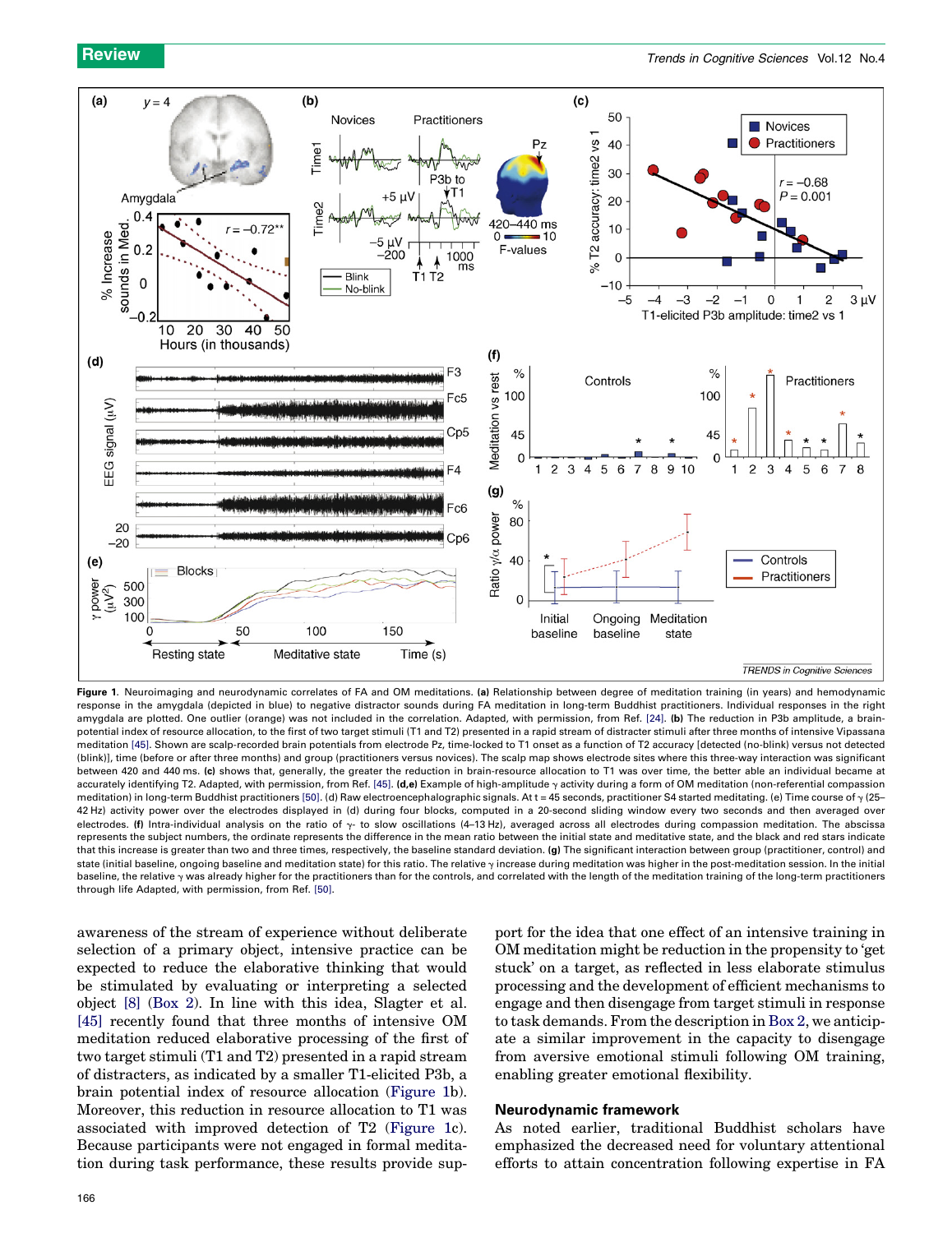<span id="page-3-0"></span>

Figure 1. Neuroimaging and neurodynamic correlates of FA and OM meditations. (a) Relationship between degree of meditation training (in years) and hemodynamic response in the amygdala (depicted in blue) to negative distractor sounds during FA meditation in long-term Buddhist practitioners. Individual responses in the right amygdala are plotted. One outlier (orange) was not included in the correlation. Adapted, with permission, from Ref. [\[24\]](#page-5-0). (b) The reduction in P3b amplitude, a brainpotential index of resource allocation, to the first of two target stimuli (T1 and T2) presented in a rapid stream of distracter stimuli after three months of intensive Vipassana meditation [\[45\].](#page-6-0) Shown are scalp-recorded brain potentials from electrode Pz, time-locked to T1 onset as a function of T2 accuracy [detected (no-blink) versus not detected (blink)], time (before or after three months) and group (practitioners versus novices). The scalp map shows electrode sites where this three-way interaction was significant between 420 and 440 ms. (c) shows that, generally, the greater the reduction in brain-resource allocation to T1 was over time, the better able an individual became at accurately identifying T2. Adapted, with permission, from Ref. [\[45\].](#page-6-0) (d,e) Example of high-amplitude  $\gamma$  activity during a form of OM meditation (non-referential compassion meditation) in long-term Buddhist practitioners [\[50\].](#page-6-0) (d) Raw electroencephalographic signals. At t = 45 seconds, practitioner S4 started meditating. (e) Time course of  $\gamma$  (25-42 Hz) activity power over the electrodes displayed in (d) during four blocks, computed in a 20-second sliding window every two seconds and then averaged over electrodes. (f) Intra-individual analysis on the ratio of  $\gamma$ - to slow oscillations (4-13 Hz), averaged across all electrodes during compassion meditation. The abscissa represents the subject numbers, the ordinate represents the difference in the mean ratio between the initial state and meditative state, and the black and red stars indicate that this increase is greater than two and three times, respectively, the baseline standard deviation. (g) The significant interaction between group (practitioner, control) and state (initial baseline, ongoing baseline and meditation state) for this ratio. The relative  $\gamma$  increase during meditation was higher in the post-meditation session. In the initial baseline, the relative y was already higher for the practitioners than for the controls, and correlated with the length of the meditation training of the long-term practitioners through life Adapted, with permission, from Ref. [\[50\].](#page-6-0)

awareness of the stream of experience without deliberate selection of a primary object, intensive practice can be expected to reduce the elaborative thinking that would be stimulated by evaluating or interpreting a selected object [\[8\]](#page-5-0) [\(Box 2\)](#page-1-0). In line with this idea, Slagter et al. [\[45\]](#page-6-0) recently found that three months of intensive OM meditation reduced elaborative processing of the first of two target stimuli (T1 and T2) presented in a rapid stream of distracters, as indicated by a smaller T1-elicited P3b, a brain potential index of resource allocation (Figure 1b). Moreover, this reduction in resource allocation to T1 was associated with improved detection of T2 (Figure 1c). Because participants were not engaged in formal meditation during task performance, these results provide support for the idea that one effect of an intensive training in OM meditation might be reduction in the propensity to 'get stuck' on a target, as reflected in less elaborate stimulus processing and the development of efficient mechanisms to engage and then disengage from target stimuli in response to task demands. From the description in [Box 2](#page-1-0), we anticipate a similar improvement in the capacity to disengage from aversive emotional stimuli following OM training, enabling greater emotional flexibility.

# Neurodynamic framework

As noted earlier, traditional Buddhist scholars have emphasized the decreased need for voluntary attentional efforts to attain concentration following expertise in FA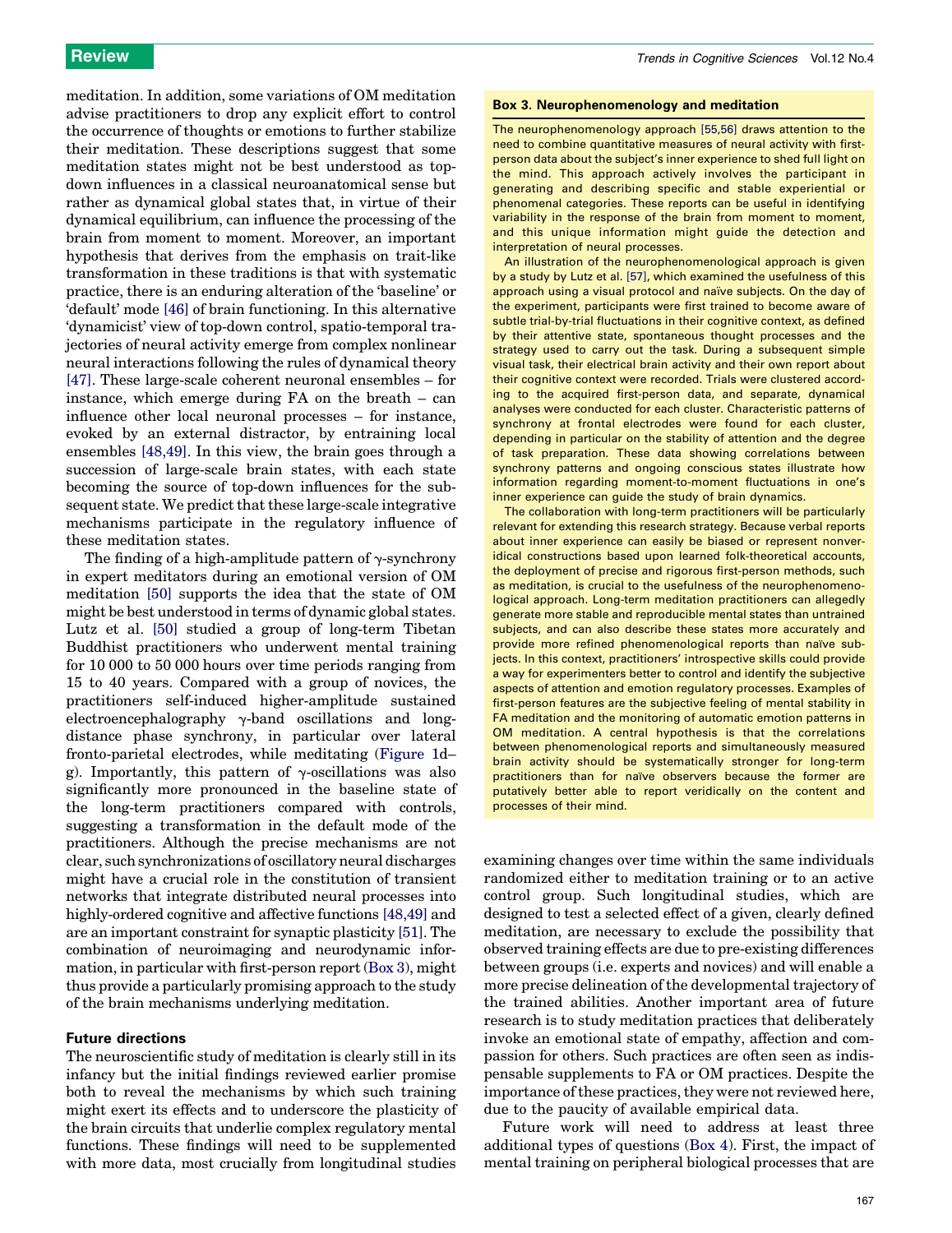<span id="page-4-0"></span>meditation. In addition, some variations of OM meditation advise practitioners to drop any explicit effort to control the occurrence of thoughts or emotions to further stabilize their meditation. These descriptions suggest that some meditation states might not be best understood as topdown influences in a classical neuroanatomical sense but rather as dynamical global states that, in virtue of their dynamical equilibrium, can influence the processing of the brain from moment to moment. Moreover, an important hypothesis that derives from the emphasis on trait-like transformation in these traditions is that with systematic practice, there is an enduring alteration of the 'baseline' or 'default' mode [\[46\]](#page-6-0) of brain functioning. In this alternative 'dynamicist' view of top-down control, spatio-temporal trajectories of neural activity emerge from complex nonlinear neural interactions following the rules of dynamical theory [\[47\]](#page-6-0). These large-scale coherent neuronal ensembles – for instance, which emerge during FA on the breath – can influence other local neuronal processes – for instance, evoked by an external distractor, by entraining local ensembles [\[48,49\]](#page-6-0). In this view, the brain goes through a succession of large-scale brain states, with each state becoming the source of top-down influences for the subsequent state. We predict that these large-scale integrative mechanisms participate in the regulatory influence of these meditation states.

The finding of a high-amplitude pattern of  $\gamma$ -synchrony in expert meditators during an emotional version of OM meditation [\[50\]](#page-6-0) supports the idea that the state of OM might be best understood in terms of dynamic global states. Lutz et al. [\[50\]](#page-6-0) studied a group of long-term Tibetan Buddhist practitioners who underwent mental training for 10 000 to 50 000 hours over time periods ranging from 15 to 40 years. Compared with a group of novices, the practitioners self-induced higher-amplitude sustained electroencephalography  $\gamma$ -band oscillations and longdistance phase synchrony, in particular over lateral fronto-parietal electrodes, while meditating [\(Figure 1d](#page-3-0)– g). Importantly, this pattern of  $\gamma$ -oscillations was also significantly more pronounced in the baseline state of the long-term practitioners compared with controls, suggesting a transformation in the default mode of the practitioners. Although the precise mechanisms are not clear, such synchronizations of oscillatory neural discharges might have a crucial role in the constitution of transient networks that integrate distributed neural processes into highly-ordered cognitive and affective functions [\[48,49\]](#page-6-0) and are an important constraint for synaptic plasticity [\[51\]](#page-6-0). The combination of neuroimaging and neurodynamic information, in particular with first-person report (Box 3), might thus provide a particularly promising approach to the study of the brain mechanisms underlying meditation.

# Future directions

The neuroscientific study of meditation is clearly still in its infancy but the initial findings reviewed earlier promise both to reveal the mechanisms by which such training might exert its effects and to underscore the plasticity of the brain circuits that underlie complex regulatory mental functions. These findings will need to be supplemented with more data, most crucially from longitudinal studies

#### Box 3. Neurophenomenology and meditation

The neurophenomenology approach [\[55,56\]](#page-6-0) draws attention to the need to combine quantitative measures of neural activity with firstperson data about the subject's inner experience to shed full light on the mind. This approach actively involves the participant in generating and describing specific and stable experiential or phenomenal categories. These reports can be useful in identifying variability in the response of the brain from moment to moment, and this unique information might guide the detection and interpretation of neural processes.

An illustration of the neurophenomenological approach is given by a study by Lutz et al. [\[57\]](#page-6-0), which examined the usefulness of this approach using a visual protocol and naïve subjects. On the day of the experiment, participants were first trained to become aware of subtle trial-by-trial fluctuations in their cognitive context, as defined by their attentive state, spontaneous thought processes and the strategy used to carry out the task. During a subsequent simple visual task, their electrical brain activity and their own report about their cognitive context were recorded. Trials were clustered according to the acquired first-person data, and separate, dynamical analyses were conducted for each cluster. Characteristic patterns of synchrony at frontal electrodes were found for each cluster, depending in particular on the stability of attention and the degree of task preparation. These data showing correlations between synchrony patterns and ongoing conscious states illustrate how information regarding moment-to-moment fluctuations in one's inner experience can guide the study of brain dynamics.

The collaboration with long-term practitioners will be particularly relevant for extending this research strategy. Because verbal reports about inner experience can easily be biased or represent nonveridical constructions based upon learned folk-theoretical accounts, the deployment of precise and rigorous first-person methods, such as meditation, is crucial to the usefulness of the neurophenomenological approach. Long-term meditation practitioners can allegedly generate more stable and reproducible mental states than untrained subjects, and can also describe these states more accurately and provide more refined phenomenological reports than naïve subjects. In this context, practitioners' introspective skills could provide a way for experimenters better to control and identify the subjective aspects of attention and emotion regulatory processes. Examples of first-person features are the subjective feeling of mental stability in FA meditation and the monitoring of automatic emotion patterns in OM meditation. A central hypothesis is that the correlations between phenomenological reports and simultaneously measured brain activity should be systematically stronger for long-term practitioners than for naïve observers because the former are putatively better able to report veridically on the content and processes of their mind.

examining changes over time within the same individuals randomized either to meditation training or to an active control group. Such longitudinal studies, which are designed to test a selected effect of a given, clearly defined meditation, are necessary to exclude the possibility that observed training effects are due to pre-existing differences between groups (i.e. experts and novices) and will enable a more precise delineation of the developmental trajectory of the trained abilities. Another important area of future research is to study meditation practices that deliberately invoke an emotional state of empathy, affection and compassion for others. Such practices are often seen as indispensable supplements to FA or OM practices. Despite the importance of these practices, they were not reviewed here, due to the paucity of available empirical data.

Future work will need to address at least three additional types of questions ([Box 4\)](#page-5-0). First, the impact of mental training on peripheral biological processes that are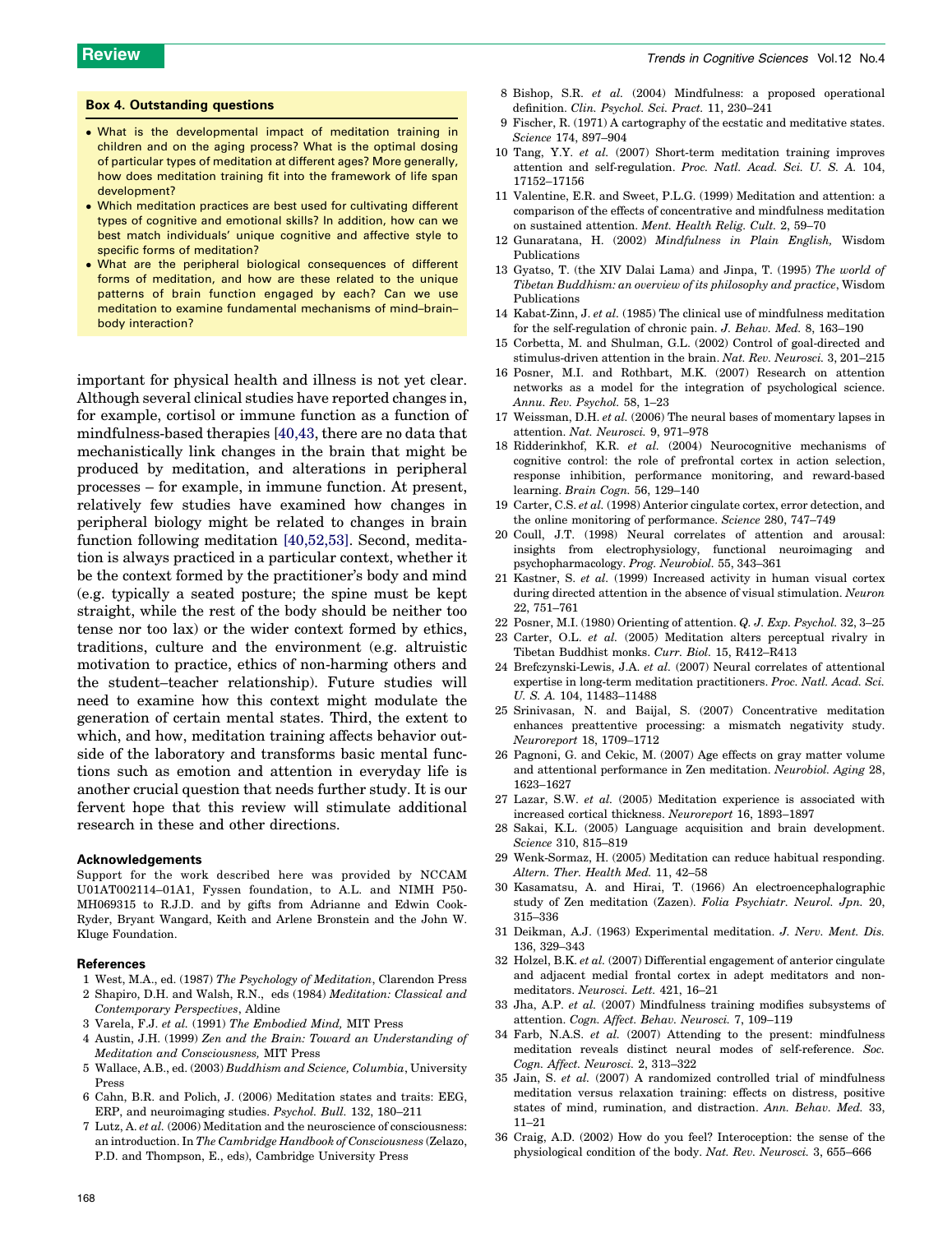#### <span id="page-5-0"></span>Box 4. Outstanding questions

- What is the developmental impact of meditation training in children and on the aging process? What is the optimal dosing of particular types of meditation at different ages? More generally, how does meditation training fit into the framework of life span development?
- Which meditation practices are best used for cultivating different types of cognitive and emotional skills? In addition, how can we best match individuals' unique cognitive and affective style to specific forms of meditation?
- What are the peripheral biological consequences of different forms of meditation, and how are these related to the unique patterns of brain function engaged by each? Can we use meditation to examine fundamental mechanisms of mind–brain– body interaction?

important for physical health and illness is not yet clear. Although several clinical studies have reported changes in, for example, cortisol or immune function as a function of mindfulness-based therapies [\[40,43](#page-6-0), there are no data that mechanistically link changes in the brain that might be produced by meditation, and alterations in peripheral processes – for example, in immune function. At present, relatively few studies have examined how changes in peripheral biology might be related to changes in brain function following meditation [\[40,52,53\].](#page-6-0) Second, meditation is always practiced in a particular context, whether it be the context formed by the practitioner's body and mind (e.g. typically a seated posture; the spine must be kept straight, while the rest of the body should be neither too tense nor too lax) or the wider context formed by ethics, traditions, culture and the environment (e.g. altruistic motivation to practice, ethics of non-harming others and the student–teacher relationship). Future studies will need to examine how this context might modulate the generation of certain mental states. Third, the extent to which, and how, meditation training affects behavior outside of the laboratory and transforms basic mental functions such as emotion and attention in everyday life is another crucial question that needs further study. It is our fervent hope that this review will stimulate additional research in these and other directions.

#### Acknowledgements

Support for the work described here was provided by NCCAM U01AT002114–01A1, Fyssen foundation, to A.L. and NIMH P50- MH069315 to R.J.D. and by gifts from Adrianne and Edwin Cook-Ryder, Bryant Wangard, Keith and Arlene Bronstein and the John W. Kluge Foundation.

#### References

- 1 West, M.A., ed. (1987) The Psychology of Meditation, Clarendon Press
- 2 Shapiro, D.H. and Walsh, R.N., eds (1984) Meditation: Classical and Contemporary Perspectives, Aldine
- 3 Varela, F.J. et al. (1991) The Embodied Mind, MIT Press
- 4 Austin, J.H. (1999) Zen and the Brain: Toward an Understanding of Meditation and Consciousness, MIT Press
- 5 Wallace, A.B., ed. (2003) Buddhism and Science, Columbia, University Press
- 6 Cahn, B.R. and Polich, J. (2006) Meditation states and traits: EEG, ERP, and neuroimaging studies. Psychol. Bull. 132, 180–211
- 7 Lutz, A. et al. (2006) Meditation and the neuroscience of consciousness: an introduction. In The Cambridge Handbook of Consciousness (Zelazo, P.D. and Thompson, E., eds), Cambridge University Press
- 8 Bishop, S.R. et al. (2004) Mindfulness: a proposed operational definition. Clin. Psychol. Sci. Pract. 11, 230–241
- 9 Fischer, R. (1971) A cartography of the ecstatic and meditative states. Science 174, 897–904
- 10 Tang, Y.Y. et al. (2007) Short-term meditation training improves attention and self-regulation. Proc. Natl. Acad. Sci. U. S. A. 104, 17152–17156
- 11 Valentine, E.R. and Sweet, P.L.G. (1999) Meditation and attention: a comparison of the effects of concentrative and mindfulness meditation on sustained attention. Ment. Health Relig. Cult. 2, 59–70
- 12 Gunaratana, H. (2002) Mindfulness in Plain English, Wisdom Publications
- 13 Gyatso, T. (the XIV Dalai Lama) and Jinpa, T. (1995) The world of Tibetan Buddhism: an overview of its philosophy and practice, Wisdom Publications
- 14 Kabat-Zinn, J. et al. (1985) The clinical use of mindfulness meditation for the self-regulation of chronic pain. J. Behav. Med. 8, 163–190
- 15 Corbetta, M. and Shulman, G.L. (2002) Control of goal-directed and stimulus-driven attention in the brain. Nat. Rev. Neurosci. 3, 201–215
- 16 Posner, M.I. and Rothbart, M.K. (2007) Research on attention networks as a model for the integration of psychological science. Annu. Rev. Psychol. 58, 1–23
- 17 Weissman, D.H. et al. (2006) The neural bases of momentary lapses in attention. Nat. Neurosci. 9, 971–978
- 18 Ridderinkhof, K.R. et al. (2004) Neurocognitive mechanisms of cognitive control: the role of prefrontal cortex in action selection, response inhibition, performance monitoring, and reward-based learning. Brain Cogn. 56, 129–140
- 19 Carter, C.S. et al. (1998) Anterior cingulate cortex, error detection, and the online monitoring of performance. Science 280, 747–749
- 20 Coull, J.T. (1998) Neural correlates of attention and arousal: insights from electrophysiology, functional neuroimaging and psychopharmacology. Prog. Neurobiol. 55, 343–361
- 21 Kastner, S. et al. (1999) Increased activity in human visual cortex during directed attention in the absence of visual stimulation. Neuron 22, 751–761
- 22 Posner, M.I. (1980) Orienting of attention. Q. J. Exp. Psychol. 32, 3–25
- 23 Carter, O.L. et al. (2005) Meditation alters perceptual rivalry in Tibetan Buddhist monks. Curr. Biol. 15, R412–R413
- 24 Brefczynski-Lewis, J.A. et al. (2007) Neural correlates of attentional expertise in long-term meditation practitioners. Proc. Natl. Acad. Sci. U. S. A. 104, 11483–11488
- 25 Srinivasan, N. and Baijal, S. (2007) Concentrative meditation enhances preattentive processing: a mismatch negativity study. Neuroreport 18, 1709–1712
- 26 Pagnoni, G. and Cekic, M. (2007) Age effects on gray matter volume and attentional performance in Zen meditation. Neurobiol. Aging 28, 1623–1627
- 27 Lazar, S.W. et al. (2005) Meditation experience is associated with increased cortical thickness. Neuroreport 16, 1893–1897
- 28 Sakai, K.L. (2005) Language acquisition and brain development. Science 310, 815–819
- 29 Wenk-Sormaz, H. (2005) Meditation can reduce habitual responding. Altern. Ther. Health Med. 11, 42–58
- 30 Kasamatsu, A. and Hirai, T. (1966) An electroencephalographic study of Zen meditation (Zazen). Folia Psychiatr. Neurol. Jpn. 20, 315–336
- 31 Deikman, A.J. (1963) Experimental meditation. J. Nerv. Ment. Dis. 136, 329–343
- 32 Holzel, B.K. et al. (2007) Differential engagement of anterior cingulate and adjacent medial frontal cortex in adept meditators and nonmeditators. Neurosci. Lett. 421, 16–21
- 33 Jha, A.P. et al. (2007) Mindfulness training modifies subsystems of attention. Cogn. Affect. Behav. Neurosci. 7, 109–119
- 34 Farb, N.A.S. et al. (2007) Attending to the present: mindfulness meditation reveals distinct neural modes of self-reference. Soc. Cogn. Affect. Neurosci. 2, 313–322
- 35 Jain, S. et al. (2007) A randomized controlled trial of mindfulness meditation versus relaxation training: effects on distress, positive states of mind, rumination, and distraction. Ann. Behav. Med. 33, 11–21
- 36 Craig, A.D. (2002) How do you feel? Interoception: the sense of the physiological condition of the body. Nat. Rev. Neurosci. 3, 655–666